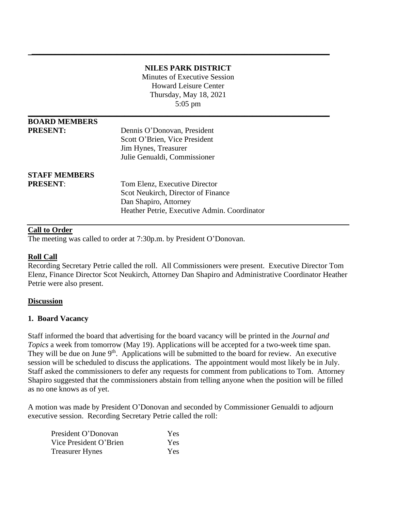# **NILES PARK DISTRICT**

 **\_\_\_\_\_\_\_\_\_\_\_\_\_\_\_\_\_\_\_\_\_\_\_\_\_\_\_\_\_\_\_\_\_\_\_\_\_\_\_\_\_\_\_\_\_\_\_\_\_\_\_\_\_\_\_\_\_\_\_\_\_\_\_\_\_\_\_\_\_\_\_\_\_\_\_\_\_**

Minutes of Executive Session Howard Leisure Center Thursday, May 18, 2021 5:05 pm

| <b>BOARD MEMBERS</b> |                                              |  |
|----------------------|----------------------------------------------|--|
| <b>PRESENT:</b>      | Dennis O'Donovan, President                  |  |
|                      | Scott O'Brien, Vice President                |  |
|                      | Jim Hynes, Treasurer                         |  |
|                      | Julie Genualdi, Commissioner                 |  |
| <b>STAFF MEMBERS</b> |                                              |  |
| <b>PRESENT:</b>      | Tom Elenz, Executive Director                |  |
|                      | Scot Neukirch, Director of Finance           |  |
|                      | Dan Shapiro, Attorney                        |  |
|                      | Heather Petrie, Executive Admin. Coordinator |  |
|                      |                                              |  |

# **Call to Order**

The meeting was called to order at 7:30p.m. by President O'Donovan.

### **Roll Call**

Recording Secretary Petrie called the roll. All Commissioners were present. Executive Director Tom Elenz, Finance Director Scot Neukirch, Attorney Dan Shapiro and Administrative Coordinator Heather Petrie were also present.

### **Discussion**

### **1. Board Vacancy**

Staff informed the board that advertising for the board vacancy will be printed in the *Journal and Topics* a week from tomorrow (May 19). Applications will be accepted for a two-week time span. They will be due on June  $9<sup>th</sup>$ . Applications will be submitted to the board for review. An executive session will be scheduled to discuss the applications. The appointment would most likely be in July. Staff asked the commissioners to defer any requests for comment from publications to Tom. Attorney Shapiro suggested that the commissioners abstain from telling anyone when the position will be filled as no one knows as of yet.

A motion was made by President O'Donovan and seconded by Commissioner Genualdi to adjourn executive session. Recording Secretary Petrie called the roll:

| President O'Donovan    | Yes |
|------------------------|-----|
| Vice President O'Brien | Yes |
| <b>Treasurer Hynes</b> | Yes |